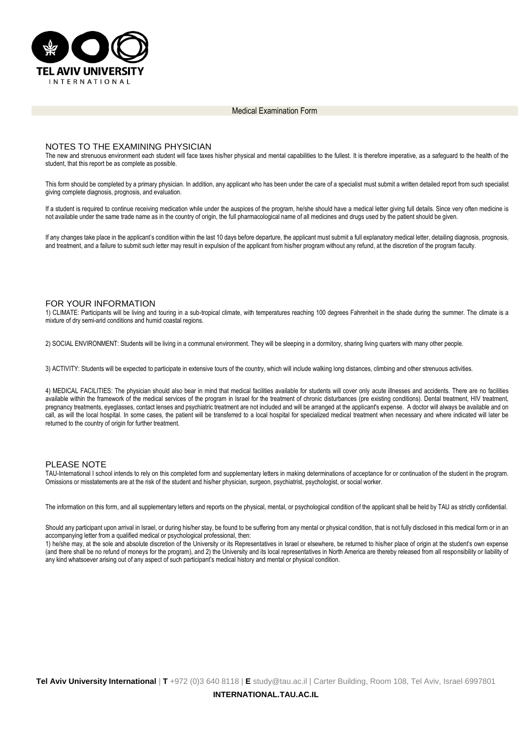

Medical Examination Form

## NOTES TO THE EXAMINING PHYSICIAN

The new and strenuous environment each student will face taxes his/her physical and mental capabilities to the fullest. It is therefore imperative, as a safequard to the health of the student, that this report be as complete as possible.

This form should be completed by a primary physician. In addition, any applicant who has been under the care of a specialist must submit a written detailed report from such specialist giving complete diagnosis, prognosis, and evaluation.

If a student is required to continue receiving medication while under the auspices of the program, he/she should have a medical letter giving full details. Since very often medicine is not available under the same trade name as in the country of origin, the full pharmacological name of all medicines and drugs used by the patient should be given.

If any changes take place in the applicant's condition within the last 10 days before departure, the applicant must submit a full explanatory medical letter, detailing diagnosis, prognosis, and treatment, and a failure to submit such letter may result in expulsion of the applicant from his/her program without any refund, at the discretion of the program faculty.

## FOR YOUR INFORMATION

1) CLIMATE: Participants will be living and touring in a sub-tropical climate, with temperatures reaching 100 degrees Fahrenheit in the shade during the summer. The climate is a mixture of dry semi-arid conditions and humid coastal regions.

2) SOCIAL ENVIRONMENT: Students will be living in a communal environment. They will be sleeping in a dormitory, sharing living quarters with many other people.

3) ACTIVITY: Students will be expected to participate in extensive tours of the country, which will include walking long distances, climbing and other strenuous activities.

4) MEDICAL FACILITIES: The physician should also bear in mind that medical facilities available for students will cover only acute illnesses and accidents. There are no facilities available within the framework of the medical services of the program in Israel for the treatment of chronic disturbances (pre existing conditions). Dental treatment, HIV treatment, pregnancy treatments, eyeglasses, contact lenses and psychiatric treatment are not included and will be arranged at the applicant's expense. A doctor will always be available and on call, as will the local hospital. In some cases, the patient will be transferred to a local hospital for specialized medical treatment when necessary and where indicated will later be returned to the country of origin for further treatment.

## PLEASE NOTE

TAU-International I school intends to rely on this completed form and supplementary letters in making determinations of acceptance for or continuation of the student in the program. Omissions or misstatements are at the risk of the student and his/her physician, surgeon, psychiatrist, psychologist, or social worker.

The information on this form, and all supplementary letters and reports on the physical, mental, or psychological condition of the applicant shall be held by TAU as strictly confidential.

Should any participant upon arrival in Israel, or during his/her stay, be found to be suffering from any mental or physical condition, that is not fully disclosed in this medical form or in an accompanying letter from a qualified medical or psychological professional, then:

1) he/she may, at the sole and absolute discretion of the University or its Representatives in Israel or elsewhere, be returned to his/her place of origin at the student's own expense (and there shall be no refund of moneys for the program), and 2) the University and its local representatives in North America are thereby released from all responsibility or liability of any kind whatsoever arising out of any aspect of such participant's medical history and mental or physical condition.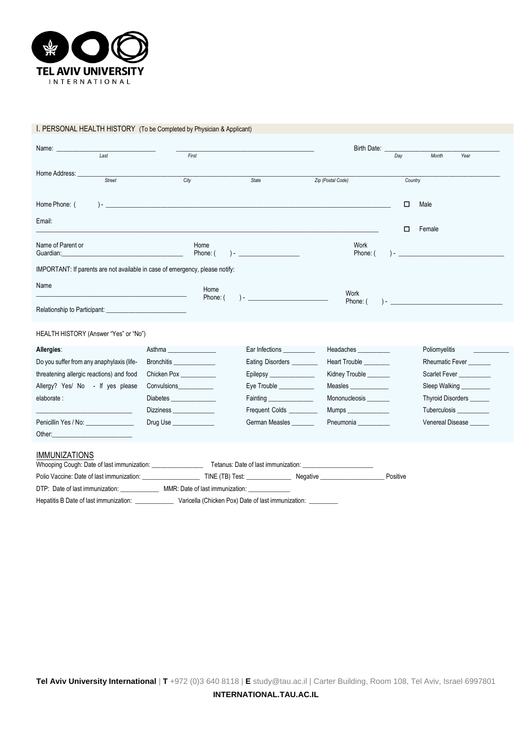

# I. PERSONAL HEALTH HISTORY (To be Completed by Physician & Applicant)

| Name:                                                                                                                |                                |                                                   | Birth Date:            |          |                                                                |
|----------------------------------------------------------------------------------------------------------------------|--------------------------------|---------------------------------------------------|------------------------|----------|----------------------------------------------------------------|
| Last                                                                                                                 | First                          |                                                   |                        | Day      | Month<br>Year                                                  |
| Home Address:<br>Street                                                                                              | City                           | <b>State</b>                                      | Zip (Postal Code)      | Country  |                                                                |
| Home Phone: (<br>$) -$                                                                                               |                                |                                                   |                        | □        | Male                                                           |
| Email:                                                                                                               |                                |                                                   |                        | □        | Female                                                         |
| Name of Parent or<br>Guardian:                                                                                       | Home<br>Phone: (               |                                                   | Work<br>Phone: (       |          | ) – and the state of the state $\mathcal{L}$ and $\mathcal{L}$ |
| IMPORTANT: If parents are not available in case of emergency, please notify:                                         |                                |                                                   |                        |          |                                                                |
| Name                                                                                                                 | Home<br>Phone: (               |                                                   | Work<br>Phone: (       |          | $\overline{a}$                                                 |
| Relationship to Participant:                                                                                         |                                |                                                   |                        |          |                                                                |
| HEALTH HISTORY (Answer "Yes" or "No")                                                                                |                                |                                                   |                        |          |                                                                |
| Allergies:                                                                                                           | Asthma                         | Ear Infections __________                         | Headaches              |          | Poliomyelitis                                                  |
| Do you suffer from any anaphylaxis (life-                                                                            | Bronchitis                     | Eating Disorders                                  | <b>Heart Trouble</b>   |          | <b>Rheumatic Fever</b>                                         |
| threatening allergic reactions) and food                                                                             | Chicken Pox                    | Epilepsy                                          | Kidney Trouble         |          | Scarlet Fever <b>Scarlet</b> Fever                             |
| Allergy? Yes/ No - If yes please                                                                                     | <b>Convulsions Convulsions</b> | Eye Trouble                                       | <b>Measles Measure</b> |          | Sleep Walking                                                  |
| elaborate :                                                                                                          |                                | Fainting <u>Executive Community of the Second</u> | Mononucleosis          |          | Thyroid Disorders ______                                       |
|                                                                                                                      | Dizziness _______________      | Frequent Colds __________                         | Mumps ______________   |          | Tuberculosis                                                   |
| Penicillin Yes / No:                                                                                                 | Drug Use                       | German Measles                                    | Pneumonia              |          | Venereal Disease                                               |
| Other:                                                                                                               |                                |                                                   |                        |          |                                                                |
| <b>IMMUNIZATIONS</b>                                                                                                 |                                |                                                   |                        |          |                                                                |
| Polio Vaccine: Date of last immunization: TINE (TB) Test: Negative                                                   |                                |                                                   |                        | Positive |                                                                |
| DTP: Date of last immunization: MMR: Date of last immunization:                                                      |                                |                                                   |                        |          |                                                                |
| Hepatitis B Date of last immunization: _________________ Varicella (Chicken Pox) Date of last immunization: ________ |                                |                                                   |                        |          |                                                                |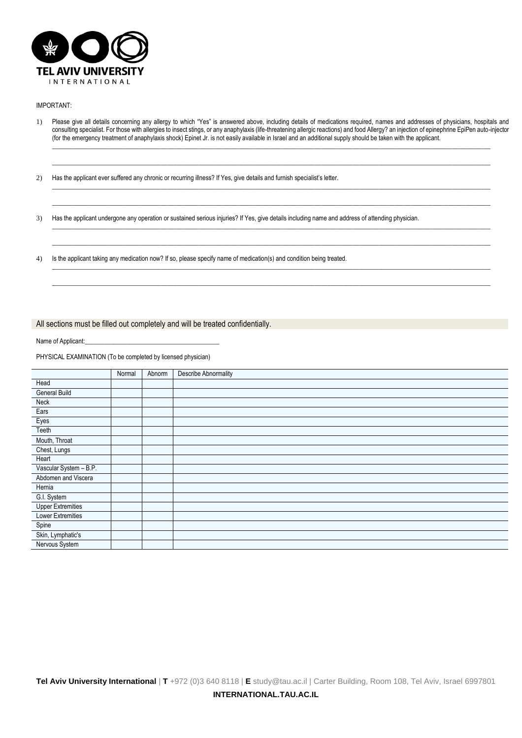

#### IMPORTANT:

1) Please give all details concerning any allergy to which "Yes" is answered above, including details of medications required, names and addresses of physicians, hospitals and consulting specialist. For those with allergies to insect stings, or any anaphylaxis (life-threatening allergic reactions) and food Allergy? an injection of epinephrine EpiPen auto-injector (for the emergency treatment of anaphylaxis shock) Epinet Jr. is not easily available in Israel and an additional supply should be taken with the applicant. \_\_\_\_\_\_\_\_\_\_\_\_\_\_\_\_\_\_\_\_\_\_\_\_\_\_\_\_\_\_\_\_\_\_\_\_\_\_\_\_\_\_\_\_\_\_\_\_\_\_\_\_\_\_\_\_\_\_\_\_\_\_\_\_\_\_\_\_\_\_\_\_\_\_\_\_\_\_\_\_\_\_\_\_\_\_\_\_\_\_\_\_\_\_\_\_\_\_\_\_\_\_\_\_\_\_\_\_\_\_\_\_\_\_\_\_\_\_\_\_\_\_\_\_\_\_\_\_\_\_\_\_\_\_\_\_\_

\_\_\_\_\_\_\_\_\_\_\_\_\_\_\_\_\_\_\_\_\_\_\_\_\_\_\_\_\_\_\_\_\_\_\_\_\_\_\_\_\_\_\_\_\_\_\_\_\_\_\_\_\_\_\_\_\_\_\_\_\_\_\_\_\_\_\_\_\_\_\_\_\_\_\_\_\_\_\_\_\_\_\_\_\_\_\_\_\_\_\_\_\_\_\_\_\_\_\_\_\_\_\_\_\_\_\_\_\_\_\_\_\_\_\_\_\_\_\_\_\_\_\_\_\_\_\_\_\_\_\_\_\_\_\_\_\_

\_\_\_\_\_\_\_\_\_\_\_\_\_\_\_\_\_\_\_\_\_\_\_\_\_\_\_\_\_\_\_\_\_\_\_\_\_\_\_\_\_\_\_\_\_\_\_\_\_\_\_\_\_\_\_\_\_\_\_\_\_\_\_\_\_\_\_\_\_\_\_\_\_\_\_\_\_\_\_\_\_\_\_\_\_\_\_\_\_\_\_\_\_\_\_\_\_\_\_\_\_\_\_\_\_\_\_\_\_\_\_\_\_\_\_\_\_\_\_\_\_\_\_\_\_\_\_\_\_\_\_\_\_\_\_\_\_ \_\_\_\_\_\_\_\_\_\_\_\_\_\_\_\_\_\_\_\_\_\_\_\_\_\_\_\_\_\_\_\_\_\_\_\_\_\_\_\_\_\_\_\_\_\_\_\_\_\_\_\_\_\_\_\_\_\_\_\_\_\_\_\_\_\_\_\_\_\_\_\_\_\_\_\_\_\_\_\_\_\_\_\_\_\_\_\_\_\_\_\_\_\_\_\_\_\_\_\_\_\_\_\_\_\_\_\_\_\_\_\_\_\_\_\_\_\_\_\_\_\_\_\_\_\_\_\_\_\_\_\_\_\_\_\_\_

\_\_\_\_\_\_\_\_\_\_\_\_\_\_\_\_\_\_\_\_\_\_\_\_\_\_\_\_\_\_\_\_\_\_\_\_\_\_\_\_\_\_\_\_\_\_\_\_\_\_\_\_\_\_\_\_\_\_\_\_\_\_\_\_\_\_\_\_\_\_\_\_\_\_\_\_\_\_\_\_\_\_\_\_\_\_\_\_\_\_\_\_\_\_\_\_\_\_\_\_\_\_\_\_\_\_\_\_\_\_\_\_\_\_\_\_\_\_\_\_\_\_\_\_\_\_\_\_\_\_\_\_\_\_\_\_\_ \_\_\_\_\_\_\_\_\_\_\_\_\_\_\_\_\_\_\_\_\_\_\_\_\_\_\_\_\_\_\_\_\_\_\_\_\_\_\_\_\_\_\_\_\_\_\_\_\_\_\_\_\_\_\_\_\_\_\_\_\_\_\_\_\_\_\_\_\_\_\_\_\_\_\_\_\_\_\_\_\_\_\_\_\_\_\_\_\_\_\_\_\_\_\_\_\_\_\_\_\_\_\_\_\_\_\_\_\_\_\_\_\_\_\_\_\_\_\_\_\_\_\_\_\_\_\_\_\_\_\_\_\_\_\_\_\_

\_\_\_\_\_\_\_\_\_\_\_\_\_\_\_\_\_\_\_\_\_\_\_\_\_\_\_\_\_\_\_\_\_\_\_\_\_\_\_\_\_\_\_\_\_\_\_\_\_\_\_\_\_\_\_\_\_\_\_\_\_\_\_\_\_\_\_\_\_\_\_\_\_\_\_\_\_\_\_\_\_\_\_\_\_\_\_\_\_\_\_\_\_\_\_\_\_\_\_\_\_\_\_\_\_\_\_\_\_\_\_\_\_\_\_\_\_\_\_\_\_\_\_\_\_\_\_\_\_\_\_\_\_\_\_\_\_ \_\_\_\_\_\_\_\_\_\_\_\_\_\_\_\_\_\_\_\_\_\_\_\_\_\_\_\_\_\_\_\_\_\_\_\_\_\_\_\_\_\_\_\_\_\_\_\_\_\_\_\_\_\_\_\_\_\_\_\_\_\_\_\_\_\_\_\_\_\_\_\_\_\_\_\_\_\_\_\_\_\_\_\_\_\_\_\_\_\_\_\_\_\_\_\_\_\_\_\_\_\_\_\_\_\_\_\_\_\_\_\_\_\_\_\_\_\_\_\_\_\_\_\_\_\_\_\_\_\_\_\_\_\_\_\_\_

2) Has the applicant ever suffered any chronic or recurring illness? If Yes, give details and furnish specialist's letter.

3) Has the applicant undergone any operation or sustained serious injuries? If Yes, give details including name and address of attending physician.

4) Is the applicant taking any medication now? If so, please specify name of medication(s) and condition being treated.

### All sections must be filled out completely and will be treated confidentially.

Name of Applicant:

PHYSICAL EXAMINATION (To be completed by licensed physician)

|                          | Normal | Abnorm | <b>Describe Abnormality</b> |
|--------------------------|--------|--------|-----------------------------|
| Head                     |        |        |                             |
| <b>General Build</b>     |        |        |                             |
| Neck                     |        |        |                             |
| Ears                     |        |        |                             |
| Eyes                     |        |        |                             |
| Teeth                    |        |        |                             |
| Mouth, Throat            |        |        |                             |
| Chest, Lungs             |        |        |                             |
| Heart                    |        |        |                             |
| Vascular System - B.P.   |        |        |                             |
| Abdomen and Viscera      |        |        |                             |
| Hemia                    |        |        |                             |
| G.I. System              |        |        |                             |
| <b>Upper Extremities</b> |        |        |                             |
| Lower Extremities        |        |        |                             |
| Spine                    |        |        |                             |
| Skin, Lymphatic's        |        |        |                             |
| Nervous System           |        |        |                             |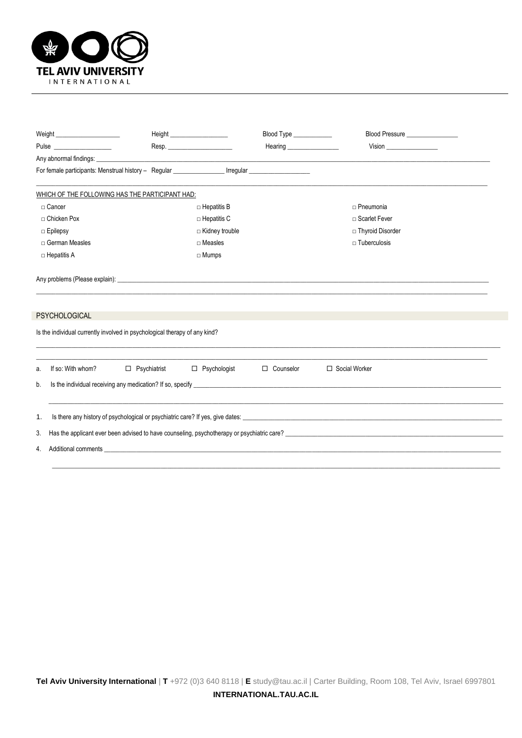

|                                                                                                                                                                                                                                      | Height _____________________                                                                                                                                                                                                   | Blood Type _____________ | Blood Pressure _________________ |  |  |  |
|--------------------------------------------------------------------------------------------------------------------------------------------------------------------------------------------------------------------------------------|--------------------------------------------------------------------------------------------------------------------------------------------------------------------------------------------------------------------------------|--------------------------|----------------------------------|--|--|--|
| Pulse <b>District Contract Contract Contract Contract Contract Contract Contract Contract Contract Contract Contract Contract Contract Contract Contract Contract Contract Contract Contract Contract Contract Contract Contract</b> |                                                                                                                                                                                                                                |                          | <b>Vision</b>                    |  |  |  |
| Any abnormal findings: example and the second contract of the second contract of the second contract of the second contract of the second contract of the second contract of the second contract of the second contract of the       |                                                                                                                                                                                                                                |                          |                                  |  |  |  |
|                                                                                                                                                                                                                                      | For female participants: Menstrual history - Regular _________________ Irregular __________________                                                                                                                            |                          |                                  |  |  |  |
| WHICH OF THE FOLLOWING HAS THE PARTICIPANT HAD:                                                                                                                                                                                      |                                                                                                                                                                                                                                |                          |                                  |  |  |  |
| □ Cancer                                                                                                                                                                                                                             | $\Box$ Hepatitis B                                                                                                                                                                                                             |                          | $\Box$ Pneumonia                 |  |  |  |
| □ Chicken Pox                                                                                                                                                                                                                        | $\Box$ Hepatitis C                                                                                                                                                                                                             |                          | □ Scarlet Fever                  |  |  |  |
| □ Epilepsy                                                                                                                                                                                                                           | □ Kidney trouble                                                                                                                                                                                                               |                          | □ Thyroid Disorder               |  |  |  |
| □ German Measles                                                                                                                                                                                                                     | $\Box$ Measles                                                                                                                                                                                                                 |                          | $\sqcap$ Tuberculosis            |  |  |  |
| $\Box$ Hepatitis A                                                                                                                                                                                                                   | $\Box$ Mumps                                                                                                                                                                                                                   |                          |                                  |  |  |  |
| <b>PSYCHOLOGICAL</b><br>Is the individual currently involved in psychological therapy of any kind?                                                                                                                                   |                                                                                                                                                                                                                                |                          |                                  |  |  |  |
| If so: With whom?<br>$\Box$ Psychiatrist<br>a.                                                                                                                                                                                       | $\Box$ Psychologist                                                                                                                                                                                                            | $\Box$ Counselor         | □ Social Worker                  |  |  |  |
| Is the individual receiving any medication? If so, specify entertainment and the individual receiving any medication? If so, specify<br>b.                                                                                           |                                                                                                                                                                                                                                |                          |                                  |  |  |  |
| 1.                                                                                                                                                                                                                                   |                                                                                                                                                                                                                                |                          |                                  |  |  |  |
| Has the applicant ever been advised to have counseling, psychotherapy or psychiatric care?<br>The contract of the contract of the contract of the control of the contract of the control of the contract of<br>3.                    |                                                                                                                                                                                                                                |                          |                                  |  |  |  |
| 4.                                                                                                                                                                                                                                   | Additional comments and the state of the state of the state of the state of the state of the state of the state of the state of the state of the state of the state of the state of the state of the state of the state of the |                          |                                  |  |  |  |

\_\_\_\_\_\_\_\_\_\_\_\_\_\_\_\_\_\_\_\_\_\_\_\_\_\_\_\_\_\_\_\_\_\_\_\_\_\_\_\_\_\_\_\_\_\_\_\_\_\_\_\_\_\_\_\_\_\_\_\_\_\_\_\_\_\_\_\_\_\_\_\_\_\_\_\_\_\_\_\_\_\_\_\_\_\_\_\_\_\_\_\_\_\_\_\_\_\_\_\_\_\_\_\_\_\_\_\_\_\_\_\_\_\_\_\_\_\_\_\_\_\_\_\_\_\_\_\_\_\_\_\_\_\_\_\_\_\_\_\_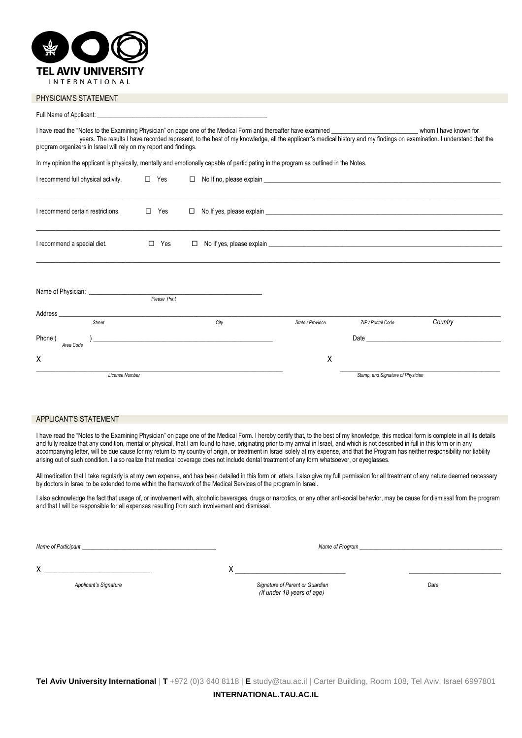

#### PHYSICIAN'S STATEMENT

| I have read the "Notes to the Examining Physician" on page one of the Medical Form and thereafter have examined<br>whom I have known for<br>years. The results I have recorded represent, to the best of my knowledge, all the applicant's medical history and my findings on examination. I understand that the<br>program organizers in Israel will rely on my report and findings. |               |                                                                                                                              |                  |                                   |                                                                                                                                                                                                                                |
|---------------------------------------------------------------------------------------------------------------------------------------------------------------------------------------------------------------------------------------------------------------------------------------------------------------------------------------------------------------------------------------|---------------|------------------------------------------------------------------------------------------------------------------------------|------------------|-----------------------------------|--------------------------------------------------------------------------------------------------------------------------------------------------------------------------------------------------------------------------------|
| In my opinion the applicant is physically, mentally and emotionally capable of participating in the program as outlined in the Notes.                                                                                                                                                                                                                                                 |               |                                                                                                                              |                  |                                   |                                                                                                                                                                                                                                |
| I recommend full physical activity.                                                                                                                                                                                                                                                                                                                                                   | $\square$ Yes |                                                                                                                              |                  |                                   |                                                                                                                                                                                                                                |
| I recommend certain restrictions.                                                                                                                                                                                                                                                                                                                                                     | Yes<br>$\Box$ | $\Box$                                                                                                                       |                  |                                   |                                                                                                                                                                                                                                |
| I recommend a special diet.                                                                                                                                                                                                                                                                                                                                                           | $\Box$ Yes    | $\Box$                                                                                                                       |                  |                                   |                                                                                                                                                                                                                                |
| Name of Physician: Name of Physician:                                                                                                                                                                                                                                                                                                                                                 | Please Print  |                                                                                                                              |                  |                                   |                                                                                                                                                                                                                                |
| Address<br>Street                                                                                                                                                                                                                                                                                                                                                                     |               |                                                                                                                              | State / Province |                                   | Country                                                                                                                                                                                                                        |
| Phone (<br>Area Code                                                                                                                                                                                                                                                                                                                                                                  |               | City<br><u> 1989 - Johann Stein, marwolaethau a bhann an t-Amhain an t-Amhain an t-Amhain an t-Amhain an t-Amhain an t-A</u> |                  | ZIP / Postal Code                 | Date and the contract of the contract of the contract of the contract of the contract of the contract of the contract of the contract of the contract of the contract of the contract of the contract of the contract of the c |
| Χ                                                                                                                                                                                                                                                                                                                                                                                     |               |                                                                                                                              | Χ                |                                   |                                                                                                                                                                                                                                |
| <b>License Number</b>                                                                                                                                                                                                                                                                                                                                                                 |               |                                                                                                                              |                  | Stamp, and Signature of Physician |                                                                                                                                                                                                                                |

## APPLICANT'S STATEMENT

I have read the "Notes to the Examining Physician" on page one of the Medical Form. I hereby certify that, to the best of my knowledge, this medical form is complete in all its details and fully realize that any condition, mental or physical, that I am found to have, originating prior to my arrival in Israel, and which is not described in full in this form or in any accompanying letter, will be due cause for my return to my country of origin, or treatment in Israel solely at my expense, and that the Program has neither responsibility nor liability arising out of such condition. I also realize that medical coverage does not include dental treatment of any form whatsoever, or eyeglasses.

All medication that I take regularly is at my own expense, and has been detailed in this form or letters. I also give my full permission for all treatment of any nature deemed necessary by doctors in Israel to be extended to me within the framework of the Medical Services of the program in Israel.

I also acknowledge the fact that usage of, or involvement with, alcoholic beverages, drugs or narcotics, or any other anti-social behavior, may be cause for dismissal from the program and that I will be responsible for all expenses resulting from such involvement and dismissal.

*Name of Participant \_\_\_\_\_\_\_\_\_\_\_\_\_\_\_\_\_\_\_\_\_\_\_\_\_\_\_\_\_\_\_\_\_\_\_\_\_\_\_\_\_\_\_\_\_\_\_\_ Name of Program \_\_\_\_\_\_\_\_\_\_\_\_\_\_\_\_\_\_\_\_\_\_\_\_\_\_\_\_\_\_\_\_\_\_\_\_\_\_\_\_\_\_\_\_\_\_\_\_\_\_\_*

X *\_\_\_\_\_\_\_\_\_\_\_\_\_\_\_\_\_\_\_\_\_\_\_\_\_\_\_\_\_\_\_\_\_\_\_\_\_\_* X *\_\_\_\_\_\_\_\_\_\_\_\_\_\_\_\_\_\_\_\_\_\_\_\_\_\_\_\_\_\_\_\_\_\_\_\_ \_\_\_\_\_\_\_\_\_\_\_\_\_\_\_\_\_\_\_\_\_\_\_\_\_\_\_\_\_\_*

 *Applicant's Signature Signature of Parent or Guardian Date )If under 18 years of age(*